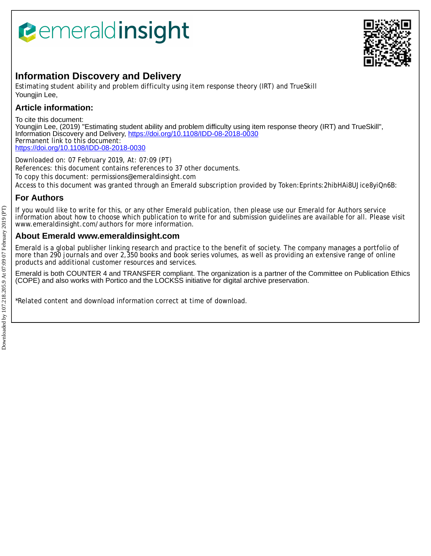# *<u><b>Pemeraldinsight</u>*



# **Information Discovery and Delivery**

Estimating student ability and problem difficulty using item response theory (IRT) and TrueSkill Youngjin Lee,

# **Article information:**

To cite this document:

Youngjin Lee, (2019) "Estimating student ability and problem difficulty using item response theory (IRT) and TrueSkill", Information Discovery and Delivery,<https://doi.org/10.1108/IDD-08-2018-0030> Permanent link to this document: <https://doi.org/10.1108/IDD-08-2018-0030>

Downloaded on: 07 February 2019, At: 07:09 (PT) References: this document contains references to 37 other documents. To copy this document: permissions@emeraldinsight.com Access to this document was granted through an Emerald subscription provided by Token:Eprints:2hibHAi8UJice8yiQn6B:

## **For Authors**

If you would like to write for this, or any other Emerald publication, then please use our Emerald for Authors service information about how to choose which publication to write for and submission guidelines are available for all. Please visit www.emeraldinsight.com/authors for more information.

### **About Emerald www.emeraldinsight.com**

Emerald is a global publisher linking research and practice to the benefit of society. The company manages a portfolio of more than 290 journals and over 2,350 books and book series volumes, as well as providing an extensive range of online products and additional customer resources and services.

Emerald is both COUNTER 4 and TRANSFER compliant. The organization is a partner of the Committee on Publication Ethics (COPE) and also works with Portico and the LOCKSS initiative for digital archive preservation.

\*Related content and download information correct at time of download.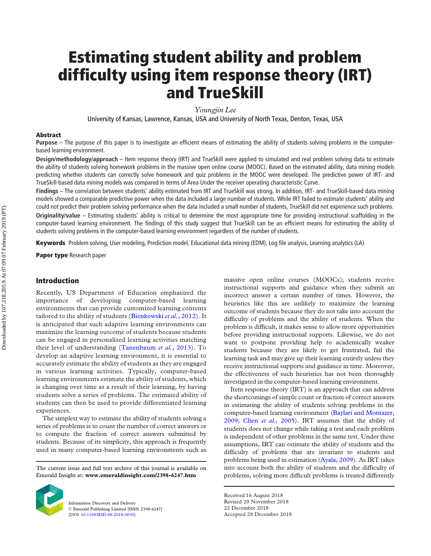# Estimating student ability and problem difficulty using item response theory (IRT) and TrueSkill

Youngjin Lee

University of Kansas, Lawrence, Kansas, USA and University of North Texas, Denton, Texas, USA

#### Abstract

Purpose – The purpose of this paper is to investigate an efficient means of estimating the ability of students solving problems in the computerbased learning environment.

Design/methodology/approach – Item response theory (IRT) and TrueSkill were applied to simulated and real problem solving data to estimate the ability of students solving homework problems in the massive open online course (MOOC). Based on the estimated ability, data mining models predicting whether students can correctly solve homework and quiz problems in the MOOC were developed. The predictive power of IRT- and TrueSkill-based data mining models was compared in terms of Area Under the receiver operating characteristic Curve.

Findings - The correlation between students' ability estimated from IRT and TrueSkill was strong. In addition, IRT- and TrueSkill-based data mining models showed a comparable predictive power when the data included a large number of students. While IRT failed to estimate students' ability and could not predict their problem solving performance when the data included a small number of students, TrueSkill did not experience such problems. Originality/value - Estimating students' ability is critical to determine the most appropriate time for providing instructional scaffolding in the computer-based learning environment. The findings of this study suggest that TrueSkill can be an efficient means for estimating the ability of students solving problems in the computer-based learning environment regardless of the number of students.

Keywords Problem solving, User modeling, Prediction model, Educational data mining (EDM), Log file analysis, Learning analytics (LA)

Paper type Research paper

#### Introduction

Recently, US Department of Education emphasized the importance of developing computer-based learning environments that can provide customized learning contents tailored to the ability of students [\(Bienkowski](#page-8-0) et al., 2012). It is anticipated that such adaptive learning environments can maximize the learning outcome of students because students can be engaged in personalized learning activities matching their level of understanding [\(Tanenbaum](#page-9-0) et al., 2013). To develop an adaptive learning environment, it is essential to accurately estimate the ability of students as they are engaged in various learning activities. Typically, computer-based learning environments estimate the ability of students, which is changing over time as a result of their learning, by having students solve a series of problems. The estimated ability of students can then be used to provide differentiated learning experiences.

The simplest way to estimate the ability of students solving a series of problems is to count the number of correct answers or to compute the fraction of correct answers submitted by students. Because of its simplicity, this approach is frequently used in many computer-based learning environments such as

The current issue and full text archive of this journal is available on Emerald Insight at: www.emeraldinsight.com/2398-6247.htm



Information Discovery and Delivery © Emerald Publishing Limited [ISSN 2398-6247] [DOI [10.1108/IDD-08-2018-0030\]](http://dx.doi.org/10.1108/IDD-08-2018-0030)

massive open online courses (MOOCs); students receive instructional supports and guidance when they submit an incorrect answer a certain number of times. However, the heuristics like this are unlikely to maximize the learning outcome of students because they do not take into account the difficulty of problems and the ability of students. When the problem is difficult, it makes sense to allow more opportunities before providing instructional supports. Likewise, we do not want to postpone providing help to academically weaker students because they are likely to get frustrated, fail the learning task and may give up their learning entirely unless they receive instructional supports and guidance in time. Moreover, the effectiveness of such heuristics has not been thoroughly investigated in the computer-based learning environment.

Item response theory (IRT) is an approach that can address the shortcomings of simple count or fraction of correct answers in estimating the ability of students solving problems in the computer-based learning environment [\(Baylari and Montazer,](#page-8-1) [2009;](#page-8-1) Chen et al.[, 2005\)](#page-8-2). IRT assumes that the ability of students does not change while taking a test and each problem is independent of other problems in the same test. Under these assumptions, IRT can estimate the ability of students and the difficulty of problems that are invariant to students and problems being used in estimation ([Ayala, 2009\)](#page-8-3). As IRT takes into account both the ability of students and the difficulty of problems, solving more difficult problems is treated differently

Received 16 August 2018 Revised 20 November 2018 22 December 2018 Accepted 28 December 2018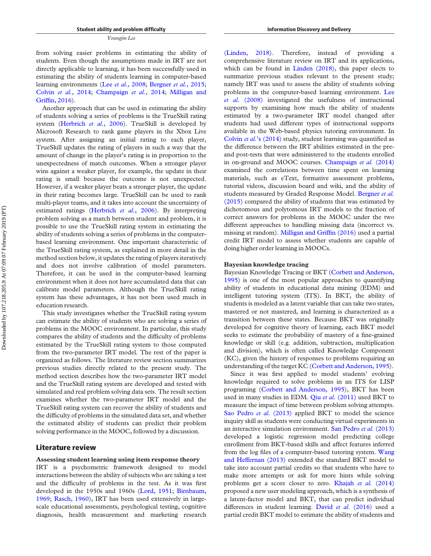from solving easier problems in estimating the ability of students. Even though the assumptions made in IRT are not directly applicable to learning, it has been successfully used in estimating the ability of students learning in computer-based learning environments (Lee et al.[, 2008;](#page-9-1) [Bergner](#page-8-4) et al., 2015; Colvin et al.[, 2014;](#page-8-5) [Champaign](#page-8-6) et al., 2014; [Milligan and](#page-9-2) Griffi[n, 2016](#page-9-2)).

Another approach that can be used in estimating the ability of students solving a series of problems is the TrueSkill rating system ([Herbrich](#page-9-3) et al., 2006). TrueSkill is developed by Microsoft Research to rank game players in the Xbox Live system. After assigning an initial rating to each player, TrueSkill updates the rating of players in such a way that the amount of change in the player's rating is in proportion to the unexpectedness of match outcomes. When a stronger player wins against a weaker player, for example, the update in their rating is small because the outcome is not unexpected. However, if a weaker player beats a stronger player, the update in their rating becomes large. TrueSkill can be used to rank multi-player teams, and it takes into account the uncertainty of estimated ratings [\(Herbrich](#page-9-3) et al., 2006). By interpreting problem solving as a match between student and problem, it is possible to use the TrueSkill rating system in estimating the ability of students solving a series of problems in the computerbased learning environment. One important characteristic of the TrueSkill rating system, as explained in more detail in the method section below, it updates the rating of players iteratively and does not involve calibration of model parameters. Therefore, it can be used in the computer-based learning environment when it does not have accumulated data that can calibrate model parameters. Although the TrueSkill rating system has these advantages, it has not been used much in education research.

This study investigates whether the TrueSkill rating system can estimate the ability of students who are solving a series of problems in the MOOC environment. In particular, this study compares the ability of students and the difficulty of problems estimated by the TrueSkill rating system to those computed from the two-parameter IRT model. The rest of the paper is organized as follows. The literature review section summarizes previous studies directly related to the present study. The method section describes how the two-parameter IRT model and the TrueSkill rating system are developed and tested with simulated and real problem solving data sets. The result section examines whether the two-parameter IRT model and the TrueSkill rating system can recover the ability of students and the difficulty of problems in the simulated data set, and whether the estimated ability of students can predict their problem solving performance in the MOOC, followed by a discussion.

#### Literature review

#### Assessing student learning using item response theory

IRT is a psychometric framework designed to model interactions between the ability of subjects who are taking a test and the difficulty of problems in the test. As it was first developed in the 1950s and 1960s [\(Lord, 1951;](#page-9-4) [Birnbaum,](#page-8-7) [1969;](#page-8-7) [Rasch, 1960\)](#page-9-5), IRT has been used extensively in largescale educational assessments, psychological testing, cognitive diagnosis, health measurement and marketing research [\(Linden, 2018](#page-9-6)). Therefore, instead of providing a comprehensive literature review on IRT and its applications, which can be found in Linden  $(2018)$ , this paper elects to summarize previous studies relevant to the present study; namely IRT was used to assess the ability of students solving problems in the computer-based learning environment. [Lee](#page-9-1) et al. [\(2008\)](#page-9-1) investigated the usefulness of instructional supports by examining how much the ability of students estimated by a two-parameter IRT model changed after students had used different types of instructional supports available in the Web-based physics tutoring environment. In Colvin et al.'[s \(2014\)](#page-8-5) study, student learning was quantified as the difference between the IRT abilities estimated in the preand post-tests that were administered to the students enrolled in on-ground and MOOC courses. [Champaign](#page-8-6) et al. (2014) examined the correlations between time spent on learning materials, such as eText, formative assessment problems, tutorial videos, discussion board and wiki, and the ability of students measured by Graded Response Model. [Bergner](#page-8-4) et al. [\(2015\)](#page-8-4) compared the ability of students that was estimated by dichotomous and polytomous IRT models to the fraction of correct answers for problems in the MOOC under the two different approaches to handling missing data (incorrect vs. missing at random). [Milligan and Grif](#page-9-2)fin (2016) used a partial credit IRT model to assess whether students are capable of doing higher order learning in MOOCs.

#### Bayesian knowledge tracing

Bayesian Knowledge Tracing or BKT ([Corbett and Anderson,](#page-8-8) [1995\)](#page-8-8) is one of the most popular approaches to quantifying ability of students in educational data mining (EDM) and intelligent tutoring system (ITS). In BKT, the ability of students is modeled as a latent variable that can take two states, mastered or not mastered, and learning is characterized as a transition between these states. Because BKT was originally developed for cognitive theory of learning, each BKT model seeks to estimate the probability of mastery of a fine-grained knowledge or skill (e.g. addition, subtraction, multiplication and division), which is often called Knowledge Component (KC), given the history of responses to problems requiring an understanding of the target KC [\(Corbett and Anderson, 1995\)](#page-8-8).

Since it was first applied to model students' evolving knowledge required to solve problems in an ITS for LISP programing ([Corbett and Anderson, 1995](#page-8-8)), BKT has been used in many studies in EDM. Qiu et al. [\(2011\)](#page-9-7) used BKT to measure the impact of time between problem solving attempts. [Sao Pedro](#page-9-8) et al. (2013) applied BKT to model the science inquiry skill as students were conducting virtual experiments in an interactive simulation environment. [San Pedro](#page-9-9) et al. (2013) developed a logistic regression model predicting college enrollment from BKT-based skills and affect features inferred from the log files of a computer-based tutoring system. [Wang](#page-9-10) [and Heffernan \(2013\)](#page-9-10) extended the standard BKT model to take into account partial credits so that students who have to make more attempts or ask for more hints while solving problems get a score closer to zero. [Khajah](#page-9-11) et al. (2014) proposed a new user modeling approach, which is a synthesis of a latent-factor model and BKT, that can predict individual differences in student learning. David et al. [\(2016\)](#page-9-12) used a partial credit BKT model to estimate the ability of students and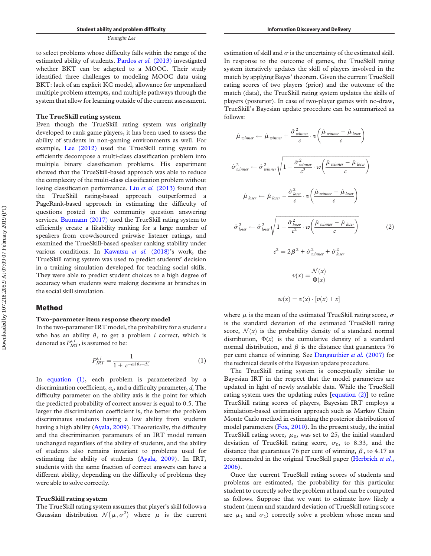<span id="page-3-0"></span>to select problems whose difficulty falls within the range of the estimated ability of students. [Pardos](#page-9-13) et al. (2013) investigated whether BKT can be adapted to a MOOC. Their study identified three challenges to modeling MOOC data using BKT: lack of an explicit KC model, allowance for unpenalized multiple problem attempts, and multiple pathways through the system that allow for learning outside of the current assessment.

#### The TrueSkill rating system

Even though the TrueSkill rating system was originally developed to rank game players, it has been used to assess the ability of students in non-gaming environments as well. For example, [Lee \(2012\)](#page-9-14) used the TrueSkill rating system to efficiently decompose a multi-class classification problem into multiple binary classification problems. His experiment showed that the TrueSkill-based approach was able to reduce the complexity of the multi-class classification problem without losing classification performance. Liu et al. [\(2013\)](#page-9-15) found that the TrueSkill rating-based approach outperformed a PageRank-based approach in estimating the difficulty of questions posted in the community question answering services. [Baumann \(2017\)](#page-8-9) used the TrueSkill rating system to efficiently create a likability ranking for a large number of speakers from crowdsourced pairwise listener ratings, and examined the TrueSkill-based speaker ranking stability under various conditions. In [Kawatsu](#page-9-16) et al.  $(2018)$ 's work, the TrueSkill rating system was used to predict students' decision in a training simulation developed for teaching social skills. They were able to predict student choices to a high degree of accuracy when students were making decisions at branches in the social skill simulation.

#### Method

#### Two-parameter item response theory model

In the two-parameter IRT model, the probability for a student s who has an ability  $\theta_s$  to get a problem i correct, which is denoted as  $P_{IRT}^{s,i}$ , is assumed to be:

$$
P_{IRT}^{s,i} = \frac{1}{1 + e^{-\alpha_i(\theta_s - d_i)}}\tag{1}
$$

In equation (1), each problem is parameterized by a discrimination coefficient,  $\alpha_i$ , and a difficulty parameter,  $d_i$  The difficulty parameter on the ability axis is the point for which the predicted probability of correct answer is equal to 0.5. The larger the discrimination coefficient is, the better the problem discriminates students having a low ability from students having a high ability [\(Ayala, 2009](#page-8-3)). Theoretically, the difficulty and the discrimination parameters of an IRT model remain unchanged regardless of the ability of students, and the ability of students also remains invariant to problems used for estimating the ability of students ([Ayala, 2009](#page-8-3)). In IRT, students with the same fraction of correct answers can have a different ability, depending on the difficulty of problems they were able to solve correctly.

#### TrueSkill rating system

The TrueSkill rating system assumes that player's skill follows a Gaussian distribution  $\mathcal{N}(\mu, \sigma^2)$  where  $\mu$  is the current estimation of skill and  $\sigma$  is the uncertainty of the estimated skill. In response to the outcome of games, the TrueSkill rating system iteratively updates the skill of players involved in the match by applying Bayes' theorem. Given the current TrueSkill rating scores of two players (prior) and the outcome of the match (data), the TrueSkill rating system updates the skills of players (posterior). In case of two-player games with no-draw, TrueSkill's Bayesian update procedure can be summarized as follows:

$$
\hat{\mu}_{winner} \leftarrow \hat{\mu}_{winner} + \frac{\hat{\sigma}_{winner}^2}{c} \cdot v \left( \frac{\hat{\mu}_{winner} - \hat{\mu}_{loser}}{c} \right)
$$
\n
$$
\hat{\sigma}_{winner}^2 \leftarrow \hat{\sigma}_{winner}^2 \left( 1 - \frac{\hat{\sigma}_{winner}^2}{c^2} \cdot v \left( \frac{\hat{\mu}_{winner} - \hat{\mu}_{loser}}{c} \right) \right)
$$
\n
$$
\hat{\mu}_{loser} \leftarrow \hat{\mu}_{loser} - \frac{\hat{\sigma}_{loser}^2}{c} \cdot v \left( \frac{\hat{\mu}_{winner} - \hat{\mu}_{loser}}{c} \right)
$$
\n
$$
\hat{\sigma}_{loser}^2 \leftarrow \hat{\sigma}_{loser}^2 \sqrt{1 - \frac{\hat{\sigma}_{loser}^2}{c^2} \cdot w \left( \frac{\hat{\mu}_{winner} - \hat{\mu}_{loser}}{c} \right)}
$$
\n
$$
c^2 = 2\beta^2 + \hat{\sigma}_{winner}^2 + \hat{\sigma}_{loser}^2
$$
\n
$$
v(x) = \frac{\mathcal{N}(x)}{\Phi(x)}
$$
\n
$$
v(x) = v(x) \cdot [v(x) + x]
$$

where  $\mu$  is the mean of the estimated TrueSkill rating score,  $\sigma$ is the standard deviation of the estimated TrueSkill rating score,  $\mathcal{N}(x)$  is the probability density of a standard normal distribution,  $\Phi(x)$  is the cumulative density of a standard normal distribution, and  $\beta$  is the distance that guarantees 76 per cent chance of winning. See [Dangauthier](#page-9-17) et al. (2007) for the technical details of the Bayesian update procedure.

The TrueSkill rating system is conceptually similar to Bayesian IRT in the respect that the model parameters are updated in light of newly available data. While the TrueSkill rating system uses the updating rules [equation (2)] to refine TrueSkill rating scores of players, Bayesian IRT employs a simulation-based estimation approach such as Markov Chain Monte Carlo method in estimating the posterior distribution of model parameters  $(Fox, 2010)$ . In the present study, the initial TrueSkill rating score,  $\mu_0$ , was set to 25, the initial standard deviation of TrueSkill rating score,  $\sigma_0$ , to 8.33, and the distance that guarantees 76 per cent of winning,  $\beta$ , to 4.17 as recommended in the original TrueSkill paper [\(Herbrich](#page-9-3) et al., [2006\)](#page-9-3).

Once the current TrueSkill rating scores of students and problems are estimated, the probability for this particular student to correctly solve the problem at hand can be computed as follows. Suppose that we want to estimate how likely a student (mean and standard deviation of TrueSkill rating score are  $\mu_1$  and  $\sigma_1$ ) correctly solve a problem whose mean and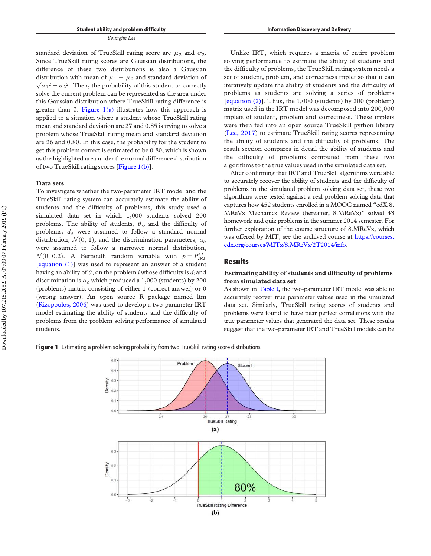standard deviation of TrueSkill rating score are  $\mu_2$  and  $\sigma_2$ . Since TrueSkill rating scores are Gaussian distributions, the difference of these two distributions is also a Gaussian distribution with mean of  $\mu_1 - \mu_2$  and standard deviation of  $\sqrt{{\sigma_1}^2 + {\sigma_2}^2}$ . Then, the probability of this student to correctly solve the current problem can be represented as the area under this Gaussian distribution where TrueSkill rating difference is greater than 0. Figure  $1(a)$  illustrates how this approach is applied to a situation where a student whose TrueSkill rating mean and standard deviation are 27 and 0.85 is trying to solve a problem whose TrueSkill rating mean and standard deviation are 26 and 0.80. In this case, the probability for the student to get this problem correct is estimated to be 0.80, which is shown as the highlighted area under the normal difference distribution of two TrueSkill rating scores [[Figure 1\(b\)](#page-4-0)].

#### Data sets

To investigate whether the two-parameter IRT model and the TrueSkill rating system can accurately estimate the ability of students and the difficulty of problems, this study used a simulated data set in which 1,000 students solved 200 problems. The ability of students,  $\theta_s$ , and the difficulty of problems,  $d_i$ , were assumed to follow a standard normal distribution,  $\mathcal{N}(0, 1)$ , and the discrimination parameters,  $\alpha_i$ , were assumed to follow a narrower normal distribution,  $\mathcal{N}(0, 0.2)$ . A Bernoulli random variable with  $p = P_{IRT}^{s,i}$ [\[equation \(1\)](#page-3-0)] was used to represent an answer of a student having an ability of  $\theta_s$  on the problem i whose difficulty is  $d_i$  and discrimination is  $\alpha_i$ , which produced a 1,000 (students) by 200 (problems) matrix consisting of either 1 (correct answer) or 0 (wrong answer). An open source R package named ltm [\(Rizopoulos, 2006\)](#page-9-19) was used to develop a two-parameter IRT model estimating the ability of students and the difficulty of problems from the problem solving performance of simulated students.

Unlike IRT, which requires a matrix of entire problem solving performance to estimate the ability of students and the difficulty of problems, the TrueSkill rating system needs a set of student, problem, and correctness triplet so that it can iteratively update the ability of students and the difficulty of problems as students are solving a series of problems [\[equation \(2\)\]](#page-3-0). Thus, the 1,000 (students) by 200 (problem) matrix used in the IRT model was decomposed into 200,000 triplets of student, problem and correctness. These triplets were then fed into an open source TrueSkill python library ([Lee, 2017](#page-9-20)) to estimate TrueSkill rating scores representing the ability of students and the difficulty of problems. The result section compares in detail the ability of students and the difficulty of problems computed from these two algorithms to the true values used in the simulated data set.

After confirming that IRT and TrueSkill algorithms were able to accurately recover the ability of students and the difficulty of problems in the simulated problem solving data set, these two algorithms were tested against a real problem solving data that captures how 452 students enrolled in a MOOC named "edX 8. MReVx Mechanics Review (hereafter, 8.MReVx)" solved 43 homework and quiz problems in the summer 2014 semester. For further exploration of the course structure of 8.MReVx, which was offered by MIT, see the archived course at [https://courses.](https://courses.edx.org/courses/MITx/8.MReVx/2T2014/info) [edx.org/courses/MITx/8.MReVx/2T2014/info.](https://courses.edx.org/courses/MITx/8.MReVx/2T2014/info)

#### **Results**

#### Estimating ability of students and difficulty of problems from simulated data set

As shown in [Table I,](#page-5-0) the two-parameter IRT model was able to accurately recover true parameter values used in the simulated data set. Similarly, TrueSkill rating scores of students and problems were found to have near perfect correlations with the true parameter values that generated the data set. These results suggest that the two-parameter IRT and TrueSkill models can be

<span id="page-4-0"></span>Figure 1 Estimating a problem solving probability from two TrueSkill rating score distributions

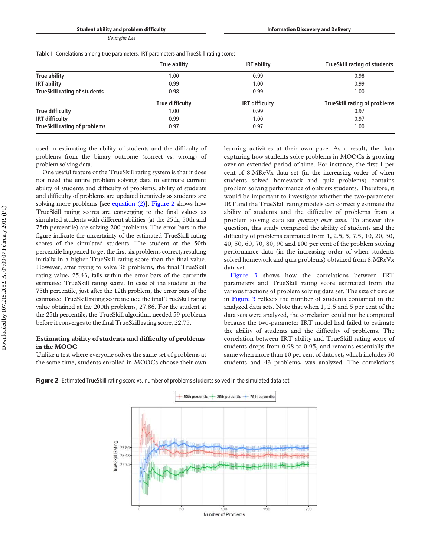|                                     | True ability           | <b>IRT</b> ability    | <b>TrueSkill rating of students</b> |
|-------------------------------------|------------------------|-----------------------|-------------------------------------|
| <b>True ability</b>                 | 1.00                   | 0.99                  | 0.98                                |
| <b>IRT ability</b>                  | 0.99                   | 1.00                  | 0.99                                |
| <b>TrueSkill rating of students</b> | 0.98                   | 0.99                  | 1.00                                |
|                                     | <b>True difficulty</b> | <b>IRT</b> difficulty | <b>TrueSkill rating of problems</b> |
| <b>True difficulty</b>              | 1.00                   | 0.99                  | 0.97                                |
| <b>IRT difficulty</b>               | 0.99                   | 1.00                  | 0.97                                |
| <b>TrueSkill rating of problems</b> | 0.97                   | 0.97                  | 1.00                                |

<span id="page-5-0"></span>Table I Correlations among true parameters, IRT parameters and TrueSkill rating scores

used in estimating the ability of students and the difficulty of problems from the binary outcome (correct vs. wrong) of problem solving data.

One useful feature of the TrueSkill rating system is that it does not need the entire problem solving data to estimate current ability of students and difficulty of problems; ability of students and difficulty of problems are updated iteratively as students are solving more problems [see [equation \(2\)\]](#page-3-0). [Figure 2](#page-5-1) shows how TrueSkill rating scores are converging to the final values as simulated students with different abilities (at the 25th, 50th and 75th percentile) are solving 200 problems. The error bars in the figure indicate the uncertainty of the estimated TrueSkill rating scores of the simulated students. The student at the 50th percentile happened to get the first six problems correct, resulting initially in a higher TrueSkill rating score than the final value. However, after trying to solve 36 problems, the final TrueSkill rating value, 25.43, falls within the error bars of the currently estimated TrueSkill rating score. In case of the student at the 75th percentile, just after the 12th problem, the error bars of the estimated TrueSkill rating score include the final TrueSkill rating value obtained at the 200th problems, 27.86. For the student at the 25th percentile, the TrueSkill algorithm needed 59 problems before it converges to the final TrueSkill rating score, 22.75.

#### Estimating ability of students and difficulty of problems in the MOOC

Unlike a test where everyone solves the same set of problems at the same time, students enrolled in MOOCs choose their own learning activities at their own pace. As a result, the data capturing how students solve problems in MOOCs is growing over an extended period of time. For instance, the first 1 per cent of 8.MReVx data set (in the increasing order of when students solved homework and quiz problems) contains problem solving performance of only six students. Therefore, it would be important to investigate whether the two-parameter IRT and the TrueSkill rating models can correctly estimate the ability of students and the difficulty of problems from a problem solving data set growing over time. To answer this question, this study compared the ability of students and the difficulty of problems estimated from 1, 2.5, 5, 7.5, 10, 20, 30, 40, 50, 60, 70, 80, 90 and 100 per cent of the problem solving performance data (in the increasing order of when students solved homework and quiz problems) obtained from 8.MReVx data set.

[Figure 3](#page-6-0) shows how the correlations between IRT parameters and TrueSkill rating score estimated from the various fractions of problem solving data set. The size of circles in [Figure 3](#page-6-0) reflects the number of students contained in the analyzed data sets. Note that when 1, 2.5 and 5 per cent of the data sets were analyzed, the correlation could not be computed because the two-parameter IRT model had failed to estimate the ability of students and the difficulty of problems. The correlation between IRT ability and TrueSkill rating score of students drops from 0.98 to 0.95, and remains essentially the same when more than 10 per cent of data set, which includes 50 students and 43 problems, was analyzed. The correlations



<span id="page-5-1"></span>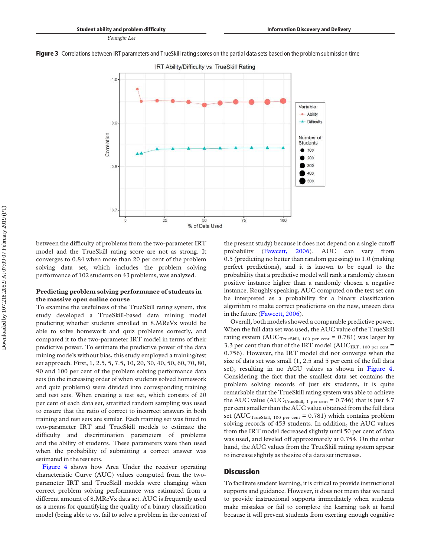<span id="page-6-0"></span>



between the difficulty of problems from the two-parameter IRT model and the TrueSkill rating score are not as strong. It converges to 0.84 when more than 20 per cent of the problem solving data set, which includes the problem solving performance of 102 students on 43 problems, was analyzed.

#### Predicting problem solving performance of students in the massive open online course

To examine the usefulness of the TrueSkill rating system, this study developed a TrueSkill-based data mining model predicting whether students enrolled in 8.MReVx would be able to solve homework and quiz problems correctly, and compared it to the two-parameter IRT model in terms of their predictive power. To estimate the predictive power of the data mining models without bias, this study employed a training/test set approach. First, 1, 2.5, 5, 7.5, 10, 20, 30, 40, 50, 60, 70, 80, 90 and 100 per cent of the problem solving performance data sets (in the increasing order of when students solved homework and quiz problems) were divided into corresponding training and test sets. When creating a test set, which consists of 20 per cent of each data set, stratified random sampling was used to ensure that the ratio of correct to incorrect answers in both training and test sets are similar. Each training set was fitted to two-parameter IRT and TrueSkill models to estimate the difficulty and discrimination parameters of problems and the ability of students. These parameters were then used when the probability of submitting a correct answer was estimated in the test sets.

[Figure 4](#page-7-0) shows how Area Under the receiver operating characteristic Curve (AUC) values computed from the twoparameter IRT and TrueSkill models were changing when correct problem solving performance was estimated from a different amount of 8.MReVx data set. AUC is frequently used as a means for quantifying the quality of a binary classification model (being able to vs. fail to solve a problem in the context of the present study) because it does not depend on a single cutoff probability [\(Fawcett, 2006\)](#page-9-21). AUC can vary from 0.5 (predicting no better than random guessing) to 1.0 (making perfect predictions), and it is known to be equal to the probability that a predictive model will rank a randomly chosen positive instance higher than a randomly chosen a negative instance. Roughly speaking, AUC computed on the test set can be interpreted as a probability for a binary classification algorithm to make correct predictions on the new, unseen data in the future ([Fawcett, 2006\)](#page-9-21).

Overall, both models showed a comparable predictive power. When the full data set was used, the AUC value of the TrueSkill rating system ( $AUC<sub>TrueStill, 100 per cent</sub> = 0.781$ ) was larger by 3.3 per cent than that of the IRT model ( $AUC_{IRT, 100 \text{ per cent}}$  = 0.756). However, the IRT model did not converge when the size of data set was small (1, 2.5 and 5 per cent of the full data set), resulting in no ACU values as shown in [Figure 4](#page-7-0). Considering the fact that the smallest data set contains the problem solving records of just six students, it is quite remarkable that the TrueSkill rating system was able to achieve the AUC value ( $AUC<sub>True Skill, 1 per cent</sub> = 0.746$ ) that is just 4.7 per cent smaller than the AUC value obtained from the full data set ( $AUC<sub>TrueSkill</sub>, 100 per cent = 0.781$ ) which contains problem solving records of 453 students. In addition, the AUC values from the IRT model decreased slightly until 50 per cent of data was used, and leveled off approximately at 0.754. On the other hand, the AUC values from the TrueSkill rating system appear to increase slightly as the size of a data set increases.

#### **Discussion**

To facilitate student learning, it is critical to provide instructional supports and guidance. However, it does not mean that we need to provide instructional supports immediately when students make mistakes or fail to complete the learning task at hand because it will prevent students from exerting enough cognitive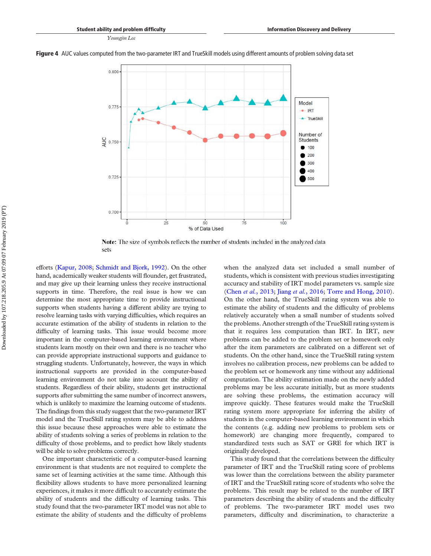<span id="page-7-0"></span>Figure 4 AUC values computed from the two-parameter IRT and TrueSkill models using different amounts of problem solving data set



Note: The size of symbols reflects the number of students included in the analyzed data sets

efforts [\(Kapur, 2008](#page-9-22); [Schmidt and Bjork, 1992](#page-9-23)). On the other hand, academically weaker students will flounder, get frustrated, and may give up their learning unless they receive instructional supports in time. Therefore, the real issue is how we can determine the most appropriate time to provide instructional supports when students having a different ability are trying to resolve learning tasks with varying difficulties, which requires an accurate estimation of the ability of students in relation to the difficulty of learning tasks. This issue would become more important in the computer-based learning environment where students learn mostly on their own and there is no teacher who can provide appropriate instructional supports and guidance to struggling students. Unfortunately, however, the ways in which instructional supports are provided in the computer-based learning environment do not take into account the ability of students. Regardless of their ability, students get instructional supports after submitting the same number of incorrect answers, which is unlikely to maximize the learning outcome of students. The findings from this study suggest that the two-parameter IRT model and the TrueSkill rating system may be able to address this issue because these approaches were able to estimate the ability of students solving a series of problems in relation to the difficulty of those problems, and to predict how likely students will be able to solve problems correctly.

One important characteristic of a computer-based learning environment is that students are not required to complete the same set of learning activities at the same time. Although this flexibility allows students to have more personalized learning experiences, it makes it more difficult to accurately estimate the ability of students and the difficulty of learning tasks. This study found that the two-parameter IRT model was not able to estimate the ability of students and the difficulty of problems when the analyzed data set included a small number of students, which is consistent with previous studies investigating accuracy and stability of IRT model parameters vs. sample size (Chen et al.[, 2013](#page-8-10); Jiang et al.[, 2016;](#page-9-24) [Torre and Hong, 2010\)](#page-9-25). On the other hand, the TrueSkill rating system was able to estimate the ability of students and the difficulty of problems relatively accurately when a small number of students solved the problems. Another strength of the TrueSkill rating system is that it requires less computation than IRT. In IRT, new problems can be added to the problem set or homework only after the item parameters are calibrated on a different set of students. On the other hand, since the TrueSkill rating system involves no calibration process, new problems can be added to the problem set or homework any time without any additional computation. The ability estimation made on the newly added problems may be less accurate initially, but as more students are solving these problems, the estimation accuracy will improve quickly. These features would make the TrueSkill rating system more appropriate for inferring the ability of students in the computer-based learning environment in which the contents (e.g. adding new problems to problem sets or homework) are changing more frequently, compared to standardized tests such as SAT or GRE for which IRT is originally developed.

This study found that the correlations between the difficulty parameter of IRT and the TrueSkill rating score of problems was lower than the correlations between the ability parameter of IRT and the TrueSkill rating score of students who solve the problems. This result may be related to the number of IRT parameters describing the ability of students and the difficulty of problems. The two-parameter IRT model uses two parameters, difficulty and discrimination, to characterize a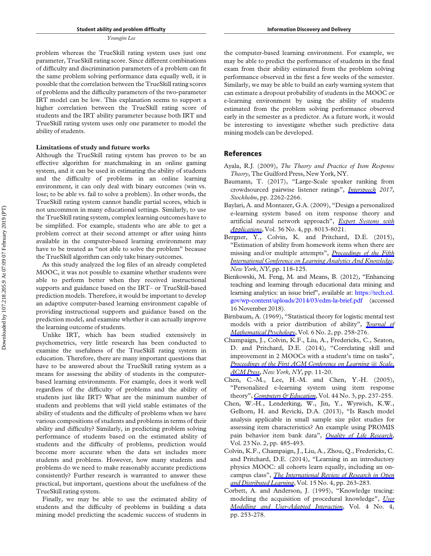problem whereas the TrueSkill rating system uses just one parameter, TrueSkill rating score. Since different combinations of difficulty and discrimination parameters of a problem can fit the same problem solving performance data equally well, it is possible that the correlation between the TrueSkill rating scores of problems and the difficulty parameters of the two-parameter IRT model can be low. This explanation seems to support a higher correlation between the TrueSkill rating score of students and the IRT ability parameter because both IRT and TrueSkill rating system uses only one parameter to model the ability of students.

#### Limitations of study and future works

Although the TrueSkill rating system has proven to be an effective algorithm for matchmaking in an online gaming system, and it can be used in estimating the ability of students and the difficulty of problems in an online learning environment, it can only deal with binary outcomes (win vs. lose; to be able vs. fail to solve a problem). In other words, the TrueSkill rating system cannot handle partial scores, which is not uncommon in many educational settings. Similarly, to use the TrueSkill rating system, complex learning outcomes have to be simplified. For example, students who are able to get a problem correct at their second attempt or after using hints available in the computer-based learning environment may have to be treated as "not able to solve the problem" because the TrueSkill algorithm can only take binary outcomes.

As this study analyzed the log files of an already completed MOOC, it was not possible to examine whether students were able to perform better when they received instructional supports and guidance based on the IRT– or TrueSkill-based prediction models. Therefore, it would be important to develop an adaptive computer-based learning environment capable of providing instructional supports and guidance based on the prediction model, and examine whether it can actually improve the learning outcome of students.

Unlike IRT, which has been studied extensively in psychometrics, very little research has been conducted to examine the usefulness of the TrueSkill rating system in education. Therefore, there are many important questions that have to be answered about the TrueSkill rating system as a means for assessing the ability of students in the computerbased learning environments. For example, does it work well regardless of the difficulty of problems and the ability of students just like IRT? What are the minimum number of students and problems that will yield stable estimates of the ability of students and the difficulty of problems when we have various compositions of students and problems in terms of their ability and difficulty? Similarly, in predicting problem solving performance of students based on the estimated ability of students and the difficulty of problems, prediction would become more accurate when the data set includes more students and problems. However, how many students and problems do we need to make reasonably accurate predictions consistently? Further research is warranted to answer these practical, but important, questions about the usefulness of the TrueSkill rating system.

Finally, we may be able to use the estimated ability of students and the difficulty of problems in building a data mining model predicting the academic success of students in

the computer-based learning environment. For example, we may be able to predict the performance of students in the final exam from their ability estimated from the problem solving performance observed in the first a few weeks of the semester. Similarly, we may be able to build an early warning system that can estimate a dropout probability of students in the MOOC or e-learning environment by using the ability of students estimated from the problem solving performance observed early in the semester as a predictor. As a future work, it would be interesting to investigate whether such predictive data mining models can be developed.

#### References

- <span id="page-8-3"></span>Ayala, R.J. (2009), The Theory and Practice of Item Response Theory, The Guilford Press, New York, NY.
- <span id="page-8-9"></span>Baumann, T. (2017), "Large-Scale speaker ranking from crowdsourced pairwise listener ratings", [Interspeech](https://www.emeraldinsight.com/action/showLinks?doi=10.1108%2FIDD-08-2018-0030&crossref=10.21437%2FInterspeech.2017-1697&citationId=p_2) 2017, Stockholm, pp. 2262-2266.
- <span id="page-8-1"></span>Baylari, A. and Montazer, G.A. (2009), "Design a personalized e-learning system based on item response theory and artificial neural network approach", [Expert Systems with](https://www.emeraldinsight.com/action/showLinks?doi=10.1108%2FIDD-08-2018-0030&crossref=10.1016%2Fj.eswa.2008.10.080&citationId=p_3) [Applications](https://www.emeraldinsight.com/action/showLinks?doi=10.1108%2FIDD-08-2018-0030&crossref=10.1016%2Fj.eswa.2008.10.080&citationId=p_3), Vol. 36 No. 4, pp. 8013-8021.
- <span id="page-8-4"></span>Bergner, Y., Colvin, K. and Pritchard, D.E. (2015), "Estimation of ability from homework items when there are missing and/or multiple attempts", [Proceedings of the Fifth](https://www.emeraldinsight.com/action/showLinks?doi=10.1108%2FIDD-08-2018-0030&crossref=10.1145%2F2723576.2723582&citationId=p_4) [International Conference on Learning Analytics And Knowledge](https://www.emeraldinsight.com/action/showLinks?doi=10.1108%2FIDD-08-2018-0030&crossref=10.1145%2F2723576.2723582&citationId=p_4), New York, NY, pp. 118-125.
- <span id="page-8-0"></span>Bienkowski, M. Feng, M. and Means, B. (2012), "Enhancing teaching and learning through educational data mining and learning analytics: an issue brief", available at: [https://tech.ed.](https://tech.ed.gov/wp-content/uploads/2014/03/edm-la-brief.pdf) [gov/wp-content/uploads/2014/03/edm-la-brief.pdf](https://tech.ed.gov/wp-content/uploads/2014/03/edm-la-brief.pdf) (accessed 16 November 2018).
- <span id="page-8-7"></span>Birnbaum, A. (1969), "Statistical theory for logistic mental test models with a prior distribution of ability", *[Journal of](https://www.emeraldinsight.com/action/showLinks?doi=10.1108%2FIDD-08-2018-0030&crossref=10.1016%2F0022-2496%2869%2990005-4&citationId=p_6)* [Mathematical Psychology](https://www.emeraldinsight.com/action/showLinks?doi=10.1108%2FIDD-08-2018-0030&crossref=10.1016%2F0022-2496%2869%2990005-4&citationId=p_6), Vol. 6 No. 2, pp. 258-276.
- <span id="page-8-6"></span>Champaign, J., Colvin, K.F., Liu, A., Fredericks, C., Seaton, D. and Pritchard, D.E. (2014), "Correlating skill and improvement in 2 MOOCs with a student's time on tasks", [Proceedings of the First ACM Conference on Learning @ Scale,](https://www.emeraldinsight.com/action/showLinks?doi=10.1108%2FIDD-08-2018-0030&crossref=10.1145%2F2556325.2566250&citationId=p_7) [ACM Press](https://www.emeraldinsight.com/action/showLinks?doi=10.1108%2FIDD-08-2018-0030&crossref=10.1145%2F2556325.2566250&citationId=p_7), New York, NY, pp. 11-20.
- <span id="page-8-2"></span>Chen, C.-M., Lee, H.-M. and Chen, Y.-H. (2005), "Personalized e-learning system using item response theory", [Computers & Education](https://www.emeraldinsight.com/action/showLinks?doi=10.1108%2FIDD-08-2018-0030&crossref=10.1016%2Fj.compedu.2004.01.006&citationId=p_8), Vol. 44 No. 3, pp. 237-255.
- <span id="page-8-10"></span>Chen, W.-H., Lenderking, W., Jin, Y., Wyrwich, K.W., Gelhorn, H. and Revicki, D.A. (2013), "Is Rasch model analysis applicable in small sample size pilot studies for assessing item characteristics? An example using PROMIS pain behavior item bank data", Ouality of Life Research, Vol. 23 No. 2, pp. 485-493.
- <span id="page-8-5"></span>Colvin, K.F., Champaign, J., Liu, A., Zhou, Q., Fredericks, C. and Pritchard, D.E. (2014), "Learning in an introductory physics MOOC: all cohorts learn equally, including an oncampus class", *[The International Review of Research in Open](https://www.emeraldinsight.com/action/showLinks?doi=10.1108%2FIDD-08-2018-0030&crossref=10.19173%2Firrodl.v15i4.1902&citationId=p_10)* [and Distributed Learning](https://www.emeraldinsight.com/action/showLinks?doi=10.1108%2FIDD-08-2018-0030&crossref=10.19173%2Firrodl.v15i4.1902&citationId=p_10), Vol. 15 No. 4, pp. 263-283.
- <span id="page-8-8"></span>Corbett, A. and Anderson, J. (1995), "Knowledge tracing: modeling the acquisition of procedural knowledge", [User](https://www.emeraldinsight.com/action/showLinks?doi=10.1108%2FIDD-08-2018-0030&crossref=10.1007%2FBF01099821&citationId=p_11) [Modelling and User-Adapted Interaction](https://www.emeraldinsight.com/action/showLinks?doi=10.1108%2FIDD-08-2018-0030&crossref=10.1007%2FBF01099821&citationId=p_11), Vol. 4 No. 4, pp. 253-278.